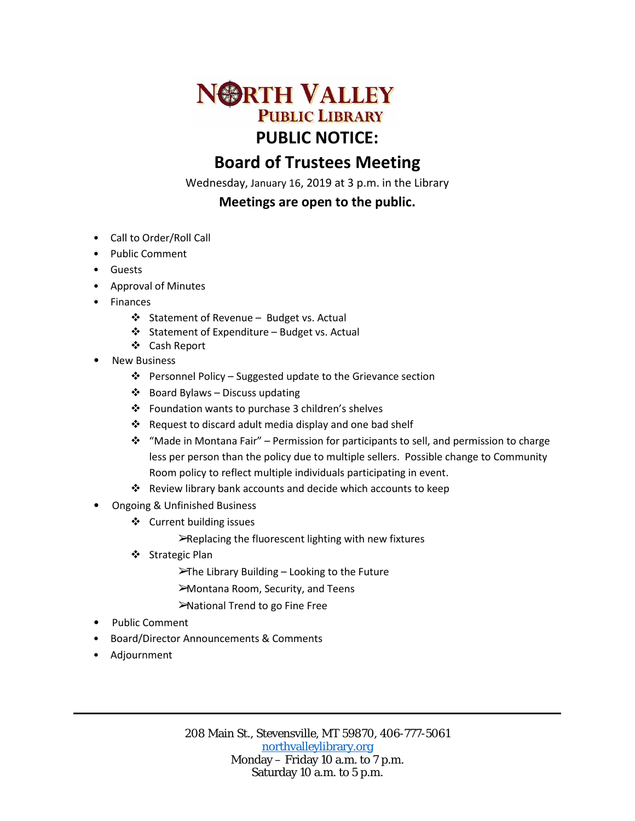

# **Board of Trustees Meeting**

Wednesday, January 16, 2019 at 3 p.m. in the Library

## **Meetings are open to the public.**

- Call to Order/Roll Call
- Public Comment
- Guests
- Approval of Minutes
- Finances
	- ❖ Statement of Revenue Budget vs. Actual
	- $\triangleleft$  Statement of Expenditure Budget vs. Actual
	- Cash Report
- **New Business** 
	- $\cdot \cdot$  Personnel Policy Suggested update to the Grievance section
	- $\triangleleft$  Board Bylaws Discuss updating
	- Foundation wants to purchase 3 children's shelves
	- $\cdot$  Request to discard adult media display and one bad shelf
	- $\cdot \cdot$  "Made in Montana Fair" Permission for participants to sell, and permission to charge less per person than the policy due to multiple sellers. Possible change to Community Room policy to reflect multiple individuals participating in event.
	- Review library bank accounts and decide which accounts to keep
- Ongoing & Unfinished Business
	- ❖ Current building issues
		- ➢Replacing the fluorescent lighting with new fixtures
	- Strategic Plan
		- ➢The Library Building Looking to the Future
		- ➢Montana Room, Security, and Teens
		- ➢National Trend to go Fine Free
- Public Comment
- Board/Director Announcements & Comments
- Adjournment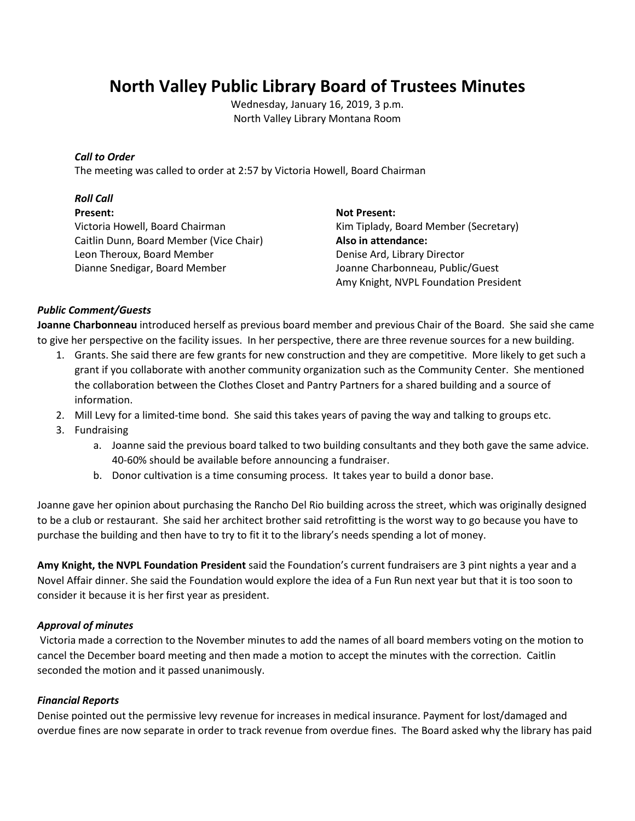# **North Valley Public Library Board of Trustees Minutes**

Wednesday, January 16, 2019, 3 p.m. North Valley Library Montana Room

## *Call to Order*

The meeting was called to order at 2:57 by Victoria Howell, Board Chairman

## *Roll Call*

#### **Present:**

Victoria Howell, Board Chairman Caitlin Dunn, Board Member (Vice Chair) Leon Theroux, Board Member Dianne Snedigar, Board Member

**Not Present:** Kim Tiplady, Board Member (Secretary) **Also in attendance:** Denise Ard, Library Director Joanne Charbonneau, Public/Guest Amy Knight, NVPL Foundation President

## *Public Comment/Guests*

**Joanne Charbonneau** introduced herself as previous board member and previous Chair of the Board. She said she came to give her perspective on the facility issues. In her perspective, there are three revenue sources for a new building.

- 1. Grants. She said there are few grants for new construction and they are competitive. More likely to get such a grant if you collaborate with another community organization such as the Community Center. She mentioned the collaboration between the Clothes Closet and Pantry Partners for a shared building and a source of information.
- 2. Mill Levy for a limited-time bond. She said this takes years of paving the way and talking to groups etc.
- 3. Fundraising
	- a. Joanne said the previous board talked to two building consultants and they both gave the same advice. 40-60% should be available before announcing a fundraiser.
	- b. Donor cultivation is a time consuming process. It takes year to build a donor base.

Joanne gave her opinion about purchasing the Rancho Del Rio building across the street, which was originally designed to be a club or restaurant. She said her architect brother said retrofitting is the worst way to go because you have to purchase the building and then have to try to fit it to the library's needs spending a lot of money.

**Amy Knight, the NVPL Foundation President** said the Foundation's current fundraisers are 3 pint nights a year and a Novel Affair dinner. She said the Foundation would explore the idea of a Fun Run next year but that it is too soon to consider it because it is her first year as president.

## *Approval of minutes*

Victoria made a correction to the November minutes to add the names of all board members voting on the motion to cancel the December board meeting and then made a motion to accept the minutes with the correction. Caitlin seconded the motion and it passed unanimously.

## *Financial Reports*

Denise pointed out the permissive levy revenue for increases in medical insurance. Payment for lost/damaged and overdue fines are now separate in order to track revenue from overdue fines. The Board asked why the library has paid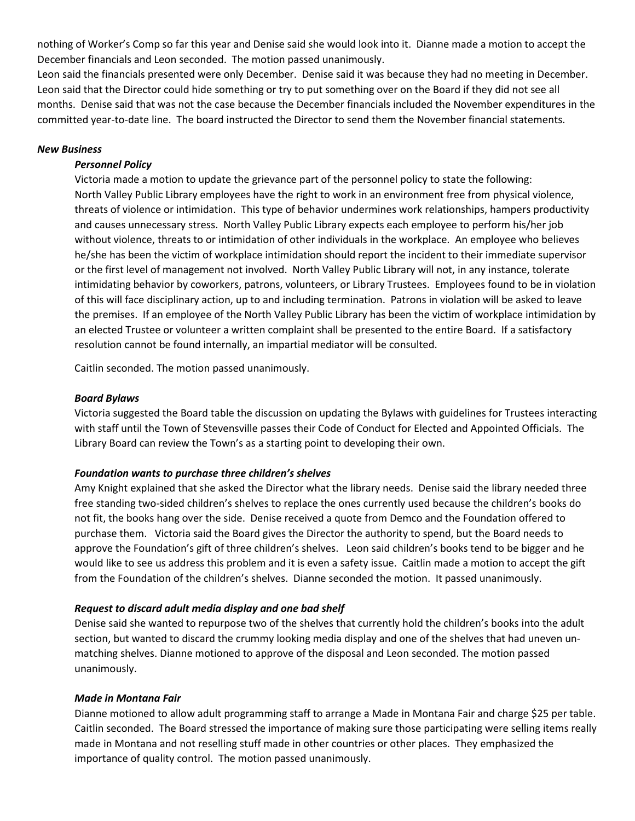nothing of Worker's Comp so far this year and Denise said she would look into it. Dianne made a motion to accept the December financials and Leon seconded. The motion passed unanimously.

Leon said the financials presented were only December. Denise said it was because they had no meeting in December. Leon said that the Director could hide something or try to put something over on the Board if they did not see all months. Denise said that was not the case because the December financials included the November expenditures in the committed year-to-date line. The board instructed the Director to send them the November financial statements.

### *New Business*

### *Personnel Policy*

Victoria made a motion to update the grievance part of the personnel policy to state the following: North Valley Public Library employees have the right to work in an environment free from physical violence, threats of violence or intimidation. This type of behavior undermines work relationships, hampers productivity and causes unnecessary stress. North Valley Public Library expects each employee to perform his/her job without violence, threats to or intimidation of other individuals in the workplace. An employee who believes he/she has been the victim of workplace intimidation should report the incident to their immediate supervisor or the first level of management not involved. North Valley Public Library will not, in any instance, tolerate intimidating behavior by coworkers, patrons, volunteers, or Library Trustees. Employees found to be in violation of this will face disciplinary action, up to and including termination. Patrons in violation will be asked to leave the premises. If an employee of the North Valley Public Library has been the victim of workplace intimidation by an elected Trustee or volunteer a written complaint shall be presented to the entire Board. If a satisfactory resolution cannot be found internally, an impartial mediator will be consulted.

Caitlin seconded. The motion passed unanimously.

#### *Board Bylaws*

Victoria suggested the Board table the discussion on updating the Bylaws with guidelines for Trustees interacting with staff until the Town of Stevensville passes their Code of Conduct for Elected and Appointed Officials. The Library Board can review the Town's as a starting point to developing their own.

#### *Foundation wants to purchase three children's shelves*

Amy Knight explained that she asked the Director what the library needs. Denise said the library needed three free standing two-sided children's shelves to replace the ones currently used because the children's books do not fit, the books hang over the side. Denise received a quote from Demco and the Foundation offered to purchase them. Victoria said the Board gives the Director the authority to spend, but the Board needs to approve the Foundation's gift of three children's shelves. Leon said children's books tend to be bigger and he would like to see us address this problem and it is even a safety issue. Caitlin made a motion to accept the gift from the Foundation of the children's shelves. Dianne seconded the motion. It passed unanimously.

## *Request to discard adult media display and one bad shelf*

Denise said she wanted to repurpose two of the shelves that currently hold the children's books into the adult section, but wanted to discard the crummy looking media display and one of the shelves that had uneven unmatching shelves. Dianne motioned to approve of the disposal and Leon seconded. The motion passed unanimously.

#### *Made in Montana Fair*

Dianne motioned to allow adult programming staff to arrange a Made in Montana Fair and charge \$25 per table. Caitlin seconded. The Board stressed the importance of making sure those participating were selling items really made in Montana and not reselling stuff made in other countries or other places. They emphasized the importance of quality control. The motion passed unanimously.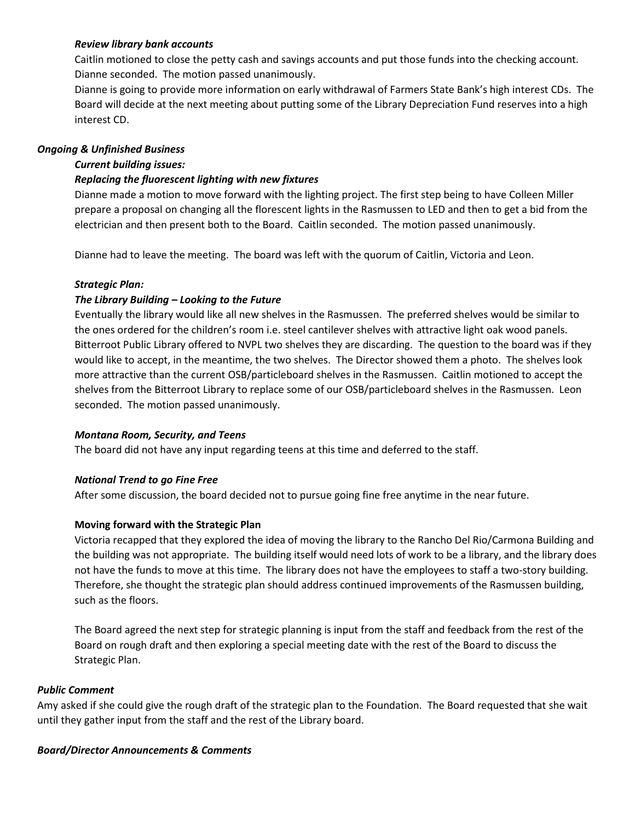## *Review library bank accounts*

Caitlin motioned to close the petty cash and savings accounts and put those funds into the checking account. Dianne seconded. The motion passed unanimously.

Dianne is going to provide more information on early withdrawal of Farmers State Bank's high interest CDs. The Board will decide at the next meeting about putting some of the Library Depreciation Fund reserves into a high interest CD.

## *Ongoing & Unfinished Business*

## *Current building issues:*

## *Replacing the fluorescent lighting with new fixtures*

Dianne made a motion to move forward with the lighting project. The first step being to have Colleen Miller prepare a proposal on changing all the florescent lights in the Rasmussen to LED and then to get a bid from the electrician and then present both to the Board. Caitlin seconded. The motion passed unanimously.

Dianne had to leave the meeting. The board was left with the quorum of Caitlin, Victoria and Leon.

## *Strategic Plan:*

## *The Library Building – Looking to the Future*

Eventually the library would like all new shelves in the Rasmussen. The preferred shelves would be similar to the ones ordered for the children's room i.e. steel cantilever shelves with attractive light oak wood panels. Bitterroot Public Library offered to NVPL two shelves they are discarding. The question to the board was if they would like to accept, in the meantime, the two shelves. The Director showed them a photo. The shelves look more attractive than the current OSB/particleboard shelves in the Rasmussen. Caitlin motioned to accept the shelves from the Bitterroot Library to replace some of our OSB/particleboard shelves in the Rasmussen. Leon seconded. The motion passed unanimously.

## *Montana Room, Security, and Teens*

The board did not have any input regarding teens at this time and deferred to the staff.

## *National Trend to go Fine Free*

After some discussion, the board decided not to pursue going fine free anytime in the near future.

## **Moving forward with the Strategic Plan**

Victoria recapped that they explored the idea of moving the library to the Rancho Del Rio/Carmona Building and the building was not appropriate. The building itself would need lots of work to be a library, and the library does not have the funds to move at this time. The library does not have the employees to staff a two-story building. Therefore, she thought the strategic plan should address continued improvements of the Rasmussen building, such as the floors.

The Board agreed the next step for strategic planning is input from the staff and feedback from the rest of the Board on rough draft and then exploring a special meeting date with the rest of the Board to discuss the Strategic Plan.

## *Public Comment*

Amy asked if she could give the rough draft of the strategic plan to the Foundation. The Board requested that she wait until they gather input from the staff and the rest of the Library board.

## *Board/Director Announcements & Comments*